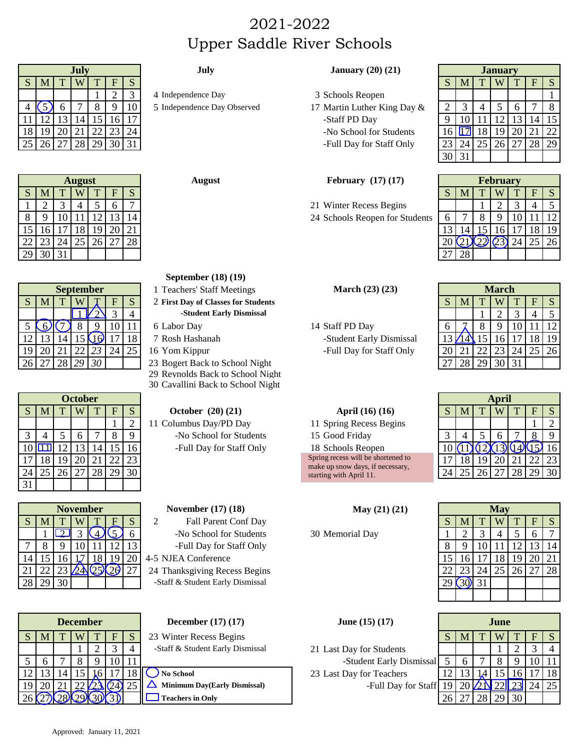# 2021-2022 Upper Saddle River Schools

|    | July |         |      |    |    |             | July                        | January $(20)$ $(21)$       | <b>January</b> |    |    |           |          |   |            |
|----|------|---------|------|----|----|-------------|-----------------------------|-----------------------------|----------------|----|----|-----------|----------|---|------------|
| -5 |      |         | W    |    |    |             |                             |                             |                | M  |    | W         |          | F | 1 S .      |
|    |      |         |      |    |    |             | 4 Independence Day          | 3 Schools Reopen            |                |    |    |           |          |   |            |
|    |      |         |      |    |    | 10          | 5 Independence Day Observed | 17 Martin Luther King Day & |                |    |    |           | $\sigma$ |   | -8         |
|    |      |         | 14   |    |    | 16   17     |                             | -Staff PD Day               |                | 10 |    |           |          |   | 4   15     |
|    | 191  | 20   21 |      | 22 | 23 | $\sqrt{24}$ |                             | -No School for Students     |                |    |    | $18$   19 | 20 l     |   | $\vert$ 22 |
|    |      | 27      | 28 I | 29 |    | 30 31       |                             | -Full Day for Staff Only    |                |    | 25 |           |          |   | 28 29      |
|    |      |         |      |    |    |             |                             |                             |                |    |    |           |          |   |            |

|    | August |    |             |                 |    |    |  |  |  |  |  |  |  |
|----|--------|----|-------------|-----------------|----|----|--|--|--|--|--|--|--|
| S  | M      | T  |             | T               | F  | S  |  |  |  |  |  |  |  |
|    |        |    |             |                 | 6  |    |  |  |  |  |  |  |  |
| 8  | 9      | 10 | 11          | 12              | 13 |    |  |  |  |  |  |  |  |
| 15 | 16     | 17 | 18          | $\overline{19}$ | 20 | 21 |  |  |  |  |  |  |  |
| 22 | 23     | 24 | $\sqrt{25}$ | 26 27           |    | 28 |  |  |  |  |  |  |  |
| 29 | 30     | 31 |             |                 |    |    |  |  |  |  |  |  |  |

|                          | <b>September</b> |    |       |                |   |    |  |  |  |  |  |  |  |
|--------------------------|------------------|----|-------|----------------|---|----|--|--|--|--|--|--|--|
| S                        |                  |    |       |                | F | S  |  |  |  |  |  |  |  |
|                          |                  |    |       |                |   |    |  |  |  |  |  |  |  |
| $\overline{\mathcal{L}}$ |                  |    | 8     |                |   |    |  |  |  |  |  |  |  |
| 12                       | 13               |    |       | 15(16)         |   | 18 |  |  |  |  |  |  |  |
|                          | 20               | 21 | 22 23 |                |   |    |  |  |  |  |  |  |  |
| $2\epsilon$              |                  | 28 | 29    | 3 <sup>c</sup> |   |    |  |  |  |  |  |  |  |

|    | October |    |           |                |    |    |  |  |  |  |  |  |  |  |
|----|---------|----|-----------|----------------|----|----|--|--|--|--|--|--|--|--|
| S  | M       | T  |           | T <sub>1</sub> | F  | S  |  |  |  |  |  |  |  |  |
|    |         |    |           |                |    | 2  |  |  |  |  |  |  |  |  |
| 3  |         | 5  | 6         |                | 8  | 9  |  |  |  |  |  |  |  |  |
| 10 |         | 12 | 13        | 14             | 15 | 16 |  |  |  |  |  |  |  |  |
|    | 18      | 19 | <b>20</b> | 21             | 22 | 23 |  |  |  |  |  |  |  |  |
| 24 | 25      | 26 | $27$ 28   |                | 29 |    |  |  |  |  |  |  |  |  |
|    |         |    |           |                |    |    |  |  |  |  |  |  |  |  |

|   | <b>November</b> |    |  |   |  |   |  |  |  |  |  |  |  |
|---|-----------------|----|--|---|--|---|--|--|--|--|--|--|--|
| S |                 |    |  |   |  | S |  |  |  |  |  |  |  |
|   |                 |    |  |   |  |   |  |  |  |  |  |  |  |
|   | 8               |    |  |   |  |   |  |  |  |  |  |  |  |
|   |                 |    |  | 8 |  |   |  |  |  |  |  |  |  |
| 2 |                 | 23 |  |   |  |   |  |  |  |  |  |  |  |
|   |                 |    |  |   |  |   |  |  |  |  |  |  |  |

| <b>December</b> |  |   |  |   | <b>December</b> $(17)(17)$       | <b>June</b> $(15)(17)$   |  |   |  | June |  |       |    |  |  |
|-----------------|--|---|--|---|----------------------------------|--------------------------|--|---|--|------|--|-------|----|--|--|
|                 |  | w |  | н | 23 Winter Recess Begins          |                          |  | M |  |      |  | E.    |    |  |  |
|                 |  |   |  |   | -Staff & Student Early Dismissal | 21 Last Day for Students |  |   |  |      |  |       |    |  |  |
|                 |  |   |  |   |                                  | -Student Early Dismissal |  |   |  |      |  |       |    |  |  |
|                 |  |   |  |   | No School                        | 23 Last Day for Teachers |  |   |  |      |  |       | 18 |  |  |
|                 |  |   |  |   | Minimum Day(Early Dismissal)     | -Full Day for Staff 19   |  |   |  |      |  | 24 25 |    |  |  |
|                 |  |   |  |   | <b>Teachers in Only</b>          |                          |  |   |  |      |  |       |    |  |  |

Approved: January 11, 2021

# **July July January (20) (21) January**

- 
- -No School for Students -Full Day for Staff Only

# **February (17) (17) February**

- 21 Winter Recess Begins
- 24 Schools Reopen for Students

| <b>January</b> |    |    |    |              |    |    |  |  |  |  |  |  |
|----------------|----|----|----|--------------|----|----|--|--|--|--|--|--|
| S              | M  | T  |    | T            | F  | S  |  |  |  |  |  |  |
|                |    |    |    |              |    |    |  |  |  |  |  |  |
| $\overline{2}$ | 3  | 4  | 5  | 6            |    | 8  |  |  |  |  |  |  |
| 9              | 10 | 11 |    | $12 \mid 13$ | 14 | 15 |  |  |  |  |  |  |
| 16             |    | 18 | 19 | 20 21        |    | 22 |  |  |  |  |  |  |
| 23             | 24 | 25 |    | 26 27 28     |    | 29 |  |  |  |  |  |  |
| 3(             |    |    |    |              |    |    |  |  |  |  |  |  |

|    |       |    | <b>August</b> |      |    | <b>February</b> $(17)(17)$<br><b>August</b> | <b>February</b> |          |  |   |    |    |    |
|----|-------|----|---------------|------|----|---------------------------------------------|-----------------|----------|--|---|----|----|----|
| S  |       |    | W             |      | ີ  |                                             |                 | <b>N</b> |  | W |    |    |    |
|    |       |    |               |      |    | 21 Winter Recess Begins                     |                 |          |  |   |    |    |    |
| 8  |       |    |               |      |    | 24 Schools Reopen for Students              |                 |          |  |   |    |    |    |
| 15 |       |    | 18            | 10   |    |                                             |                 |          |  |   |    |    | 19 |
|    | 22 23 | 24 |               | 26 I | 28 |                                             |                 |          |  |   | 24 | 25 | 26 |
|    | 29 30 |    |               |      |    |                                             |                 | 28       |  |   |    |    |    |

|                | March |    |     |    |    |    |  |  |  |  |  |  |  |
|----------------|-------|----|-----|----|----|----|--|--|--|--|--|--|--|
| S              | M     | ፐ  |     |    | F  | S  |  |  |  |  |  |  |  |
|                |       |    |     |    |    | 5  |  |  |  |  |  |  |  |
| 6              |       | 8  | 9   |    |    |    |  |  |  |  |  |  |  |
| 13             |       | 15 | 16  | 17 | 18 | 9  |  |  |  |  |  |  |  |
| 20             | 21    | 22 | 23  | 24 | 25 | 26 |  |  |  |  |  |  |  |
| $\overline{2}$ | 28    | 29 | 130 | 31 |    |    |  |  |  |  |  |  |  |

|               | October |    |   |  |     |    |                          |                                                             | <b>April</b> |   |  |                 |  |     |                 |
|---------------|---------|----|---|--|-----|----|--------------------------|-------------------------------------------------------------|--------------|---|--|-----------------|--|-----|-----------------|
| S.            | М       |    | W |  | F   |    | October $(20) (21)$      | April (16) (16)                                             |              | M |  | W               |  | F   |                 |
|               |         |    |   |  |     |    | 1 Columbus Day/PD Day    | 11 Spring Recess Begins                                     |              |   |  |                 |  |     |                 |
|               |         |    |   |  |     |    | -No School for Students  | 15 Good Friday                                              |              |   |  |                 |  |     |                 |
| 10 IL         |         |    |   |  |     |    | -Full Day for Staff Only | 18 Schools Reopen                                           |              |   |  |                 |  |     | 16۱             |
|               |         | 19 |   |  |     | 23 |                          | Spring recess will be shortened to                          |              |   |  | 20 <sup>1</sup> |  |     | 23              |
| 24            |         |    |   |  | 291 | 30 |                          | make up snow days, if necessary,<br>starting with April 11. |              |   |  |                 |  | 291 | 30 <sup>1</sup> |
| $\sim$ $\sim$ |         |    |   |  |     |    |                          |                                                             |              |   |  |                 |  |     |                 |

|    | May                     |    |                |                 |                         |    |  |  |  |  |  |  |  |
|----|-------------------------|----|----------------|-----------------|-------------------------|----|--|--|--|--|--|--|--|
| S  | M                       | T  |                | <sup>T</sup>    | $\overline{\mathsf{F}}$ | S  |  |  |  |  |  |  |  |
|    | 2                       | 3  | 4              | $5\overline{)}$ | 6                       |    |  |  |  |  |  |  |  |
| 8  | 9                       | 10 | 11             | $12$   13       |                         |    |  |  |  |  |  |  |  |
| 15 |                         |    | 16 17 18 19 20 |                 |                         | 21 |  |  |  |  |  |  |  |
| 22 | 23 24 25 26 27 28       |    |                |                 |                         |    |  |  |  |  |  |  |  |
|    | $\overline{29}$ (30) 31 |    |                |                 |                         |    |  |  |  |  |  |  |  |
|    |                         |    |                |                 |                         |    |  |  |  |  |  |  |  |

|                 |                  | $17 \mid 18 \mid 19 \mid 20 \mid 21$ |   |   |   |
|-----------------|------------------|--------------------------------------|---|---|---|
| 24              |                  | $25 \mid 26 \mid 27 \mid 28$         |   |   |   |
| $\overline{31}$ |                  |                                      |   |   |   |
|                 |                  |                                      |   |   |   |
|                 |                  |                                      |   |   |   |
|                 | <b>September</b> |                                      |   |   |   |
| T               |                  |                                      | F | S | 2 |
|                 |                  |                                      |   |   |   |

|  | 7 Rosh Hash:   |
|--|----------------|
|  | $16$ Yom Kinni |

- 23 Bogert Back to School Night
- 29 Reynolds Back to School Night
- 30 Cavallini Back to School Night

## **November (17) (18)**

2 Fall Parent Conf Day -No School for Students 30 Memorial Day -Full Day for Staff Only

4-5 NJEA Conference

24 Thanksgiving Recess Begins -Staff & Student Early Dismissal

# **December (17) (17)**

| June $(15)$ $(17)$ |  |
|--------------------|--|
|                    |  |

|   | 26 27 28 29 30 |         |   | 23 Bogert Back to School Night<br>29 Reynolds Back to School Night<br>30 Cavallini Back to School Night |                         | $\left  28 \right  29 \left  30 \right  31$ |       |  |   |
|---|----------------|---------|---|---------------------------------------------------------------------------------------------------------|-------------------------|---------------------------------------------|-------|--|---|
|   |                | October |   |                                                                                                         |                         |                                             | April |  |   |
| M |                | W       | F | October $(20)$ $(21)$                                                                                   | April (16) (16)         | M                                           | W     |  | S |
|   |                |         |   | 11 Columbus Day/PD Day                                                                                  | 11 Spring Recess Begins |                                             |       |  |   |
|   |                |         |   | -No School for Students                                                                                 | 15 Good Friday          |                                             |       |  |   |
|   |                |         |   | -Full Day for Staff Only                                                                                | 18 Schools Reopen       |                                             |       |  |   |
|   |                |         |   |                                                                                                         |                         |                                             |       |  |   |

| June (15) (17 |  |  |
|---------------|--|--|
|---------------|--|--|

|       | Deceniber |  | December $(11)$ $(11)$           | $J$ ulic $(1J)(1J)$      |   | a unc |              |                |
|-------|-----------|--|----------------------------------|--------------------------|---|-------|--------------|----------------|
| S   M | W I       |  | 23 Winter Recess Begins          |                          | M | W I   | <b>TIFIS</b> |                |
|       |           |  | -Staff & Student Early Dismissal | 21 Last Day for Students |   |       |              |                |
|       |           |  |                                  | -Student Early Dismissal |   |       |              |                |
|       |           |  | No School                        | 23 Last Day for Teachers |   |       |              | $^{\prime}$ 18 |

|    |          | 29 30 31 |                |                  |    |    |                                     |                          |    | $27 \,   \, 28$ |    |                     |    |       |         |
|----|----------|----------|----------------|------------------|----|----|-------------------------------------|--------------------------|----|-----------------|----|---------------------|----|-------|---------|
|    |          |          |                |                  |    |    | September $(18)(19)$                |                          |    |                 |    |                     |    |       |         |
|    |          |          |                | <b>September</b> |    |    | <b>Teachers' Staff Meetings</b>     | March (23) (23)          |    |                 |    | <b>March</b>        |    |       |         |
| S  | <b>N</b> |          |                |                  |    |    | 2 First Day of Classes for Students |                          | S  | -IVI            |    |                     |    |       |         |
|    |          |          |                |                  |    |    | -Student Early Dismissal            |                          |    |                 |    |                     |    |       | 5       |
|    |          |          |                |                  | 10 | 11 | 6 Labor Day                         | 14 Staff PD Day          |    |                 | 8  |                     | 10 |       | 12      |
| 12 |          | (4)      | 15             | 161              |    | 18 | 7 Rosh Hashanah                     | -Student Early Dismissal | '3 | $\sqrt{14}$     | 15 | 16 <sup>1</sup>     |    |       | 18   19 |
| 19 | 20       | 21       |                | 23               | 24 | 25 | 16 Yom Kippur                       | -Full Day for Staff Only | 20 |                 | 22 | 23                  | 24 | 25 26 |         |
|    | 26   27  |          |                | 28 29 30         |    |    | 23 Bogert Back to School Night      |                          |    |                 |    | $28$   29   30   31 |    |       |         |
|    |          |          |                |                  |    |    | 29 Reynolds Back to School Night    |                          |    |                 |    |                     |    |       |         |
|    |          |          |                |                  |    |    | 30 Cavallini Back to School Night   |                          |    |                 |    |                     |    |       |         |
|    |          |          | <b>October</b> |                  |    |    |                                     |                          |    |                 |    | April               |    |       |         |
|    |          |          |                |                  |    |    |                                     |                          |    |                 |    |                     |    |       |         |

| 11 Spring Recess Begins            |
|------------------------------------|
| 15 Good Friday                     |
| 18 Schools Reopen                  |
| Spring recess will be shortened to |
| make up snow days, if necessary,   |
| starting with April 11.            |

**May (21) (21)**